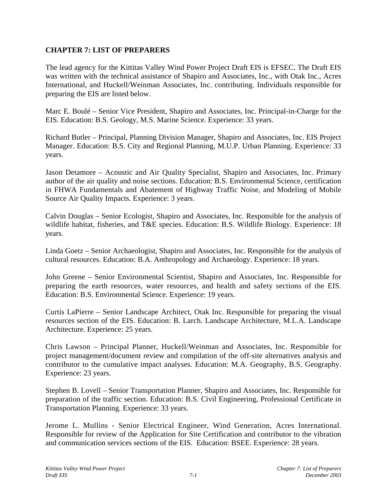## **CHAPTER 7: LIST OF PREPARERS**

The lead agency for the Kittitas Valley Wind Power Project Draft EIS is EFSEC. The Draft EIS was written with the technical assistance of Shapiro and Associates, Inc., with Otak Inc., Acres International, and Huckell/Weinman Associates, Inc. contributing. Individuals responsible for preparing the EIS are listed below.

Marc E. Boulé – Senior Vice President, Shapiro and Associates, Inc. Principal-in-Charge for the EIS. Education: B.S. Geology, M.S. Marine Science. Experience: 33 years.

Richard Butler – Principal, Planning Division Manager, Shapiro and Associates, Inc. EIS Project Manager. Education: B.S. City and Regional Planning, M.U.P. Urban Planning. Experience: 33 years.

Jason Detamore – Acoustic and Air Quality Specialist, Shapiro and Associates, Inc. Primary author of the air quality and noise sections. Education: B.S. Environmental Science, certification in FHWA Fundamentals and Abatement of Highway Traffic Noise, and Modeling of Mobile Source Air Quality Impacts. Experience: 3 years.

Calvin Douglas – Senior Ecologist, Shapiro and Associates, Inc. Responsible for the analysis of wildlife habitat, fisheries, and T&E species. Education: B.S. Wildlife Biology. Experience: 18 years.

Linda Goetz – Senior Archaeologist, Shapiro and Associates, Inc. Responsible for the analysis of cultural resources. Education: B.A. Anthropology and Archaeology. Experience: 18 years.

John Greene – Senior Environmental Scientist, Shapiro and Associates, Inc. Responsible for preparing the earth resources, water resources, and health and safety sections of the EIS. Education: B.S. Environmental Science. Experience: 19 years.

Curtis LaPierre – Senior Landscape Architect, Otak Inc. Responsible for preparing the visual resources section of the EIS. Education: B. Larch. Landscape Architecture, M.L.A. Landscape Architecture. Experience: 25 years.

Chris Lawson – Principal Planner, Huckell/Weinman and Associates, Inc. Responsible for project management/document review and compilation of the off-site alternatives analysis and contributor to the cumulative impact analyses. Education: M.A. Geography, B.S. Geography. Experience: 23 years.

Stephen B. Lovell – Senior Transportation Planner, Shapiro and Associates, Inc. Responsible for preparation of the traffic section. Education: B.S. Civil Engineering, Professional Certificate in Transportation Planning. Experience: 33 years.

Jerome L. Mullins - Senior Electrical Engineer, Wind Generation, Acres International. Responsible for review of the Application for Site Certification and contributor to the vibration and communication services sections of the EIS. Education: BSEE. Experience: 28 years.